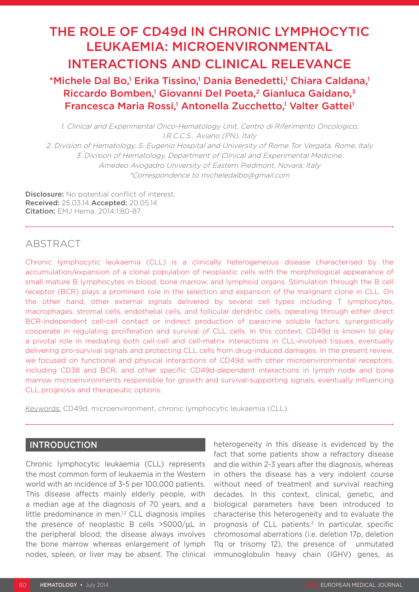# THE ROLE OF CD49d IN CHRONIC LYMPHOCYTIC LEUKAEMIA: MICROENVIRONMENTAL INTERACTIONS AND CLINICAL RELEVANCE

\*Michele Dal Bo,1 Erika Tissino,1 Dania Benedetti,1 Chiara Caldana,1 Riccardo Bomben,<sup>1</sup> Giovanni Del Poeta,<sup>2</sup> Gianluca Gaidano,<sup>3</sup> Francesca Maria Rossi,<sup>1</sup> Antonella Zucchetto,<sup>1</sup> Valter Gattei<sup>1</sup>

1. Clinical and Experimental Onco-Hematology Unit, Centro di Riferimento Oncologico, I.R.C.C.S., Aviano (PN), Italy 2. Division of Hematology, S. Eugenio Hospital and University of Rome Tor Vergata, Rome, Italy 3. Division of Hematology, Department of Clinical and Experimental Medicine, Amedeo Avogadro University of Eastern Piedmont, Novara, Italy \*Correspondence to micheledalbo@gmail.com

Disclosure: No potential conflict of interest. Received: 25.03.14 Accepted: 20.05.14 Citation: EMJ Hema. 2014;1:80-87.

# ABSTRACT

Chronic lymphocytic leukaemia (CLL) is a clinically heterogeneous disease characterised by the accumulation/expansion of a clonal population of neoplastic cells with the morphological appearance of small mature B lymphocytes in blood, bone marrow, and lymphoid organs. Stimulation through the B cell receptor (BCR) plays a prominent role in the selection and expansion of the malignant clone in CLL. On the other hand, other external signals delivered by several cell types including T lymphocytes, macrophages, stromal cells, endothelial cells, and follicular dendritic cells, operating through either direct BCR-independent cell-cell contact or indirect production of paracrine soluble factors, synergistically cooperate in regulating proliferation and survival of CLL cells. In this context, CD49d is known to play a pivotal role in mediating both cell-cell and cell-matrix interactions in CLL-involved tissues, eventually delivering pro-survival signals and protecting CLL cells from drug-induced damages. In the present review, we focused on functional and physical interactions of CD49d with other microenvironmental receptors, including CD38 and BCR, and other specific CD49d-dependent interactions in lymph node and bone marrow microenvironments responsible for growth and survival-supporting signals, eventually influencing CLL prognosis and therapeutic options.

Keywords: CD49d, microenvironment, chronic lymphocytic leukaemia (CLL).

### INTRODUCTION

Chronic lymphocytic leukaemia (CLL) represents the most common form of leukaemia in the Western world with an incidence of 3-5 per 100,000 patients. This disease affects mainly elderly people, with a median age at the diagnosis of 70 years, and a little predominance in men.<sup>1,2</sup> CLL diagnosis implies the presence of neoplastic B cells >5000/µL in the peripheral blood; the disease always involves the bone marrow whereas enlargement of lymph nodes, spleen, or liver may be absent. The clinical

heterogeneity in this disease is evidenced by the fact that some patients show a refractory disease and die within 2-3 years after the diagnosis, whereas in others the disease has a very indolent course without need of treatment and survival reaching decades. In this context, clinical, genetic, and biological parameters have been introduced to characterise this heterogeneity and to evaluate the prognosis of CLL patients.<sup>2</sup> In particular, specific chromosomal aberrations (i.e. deletion 17p, deletion 11q or trisomy 12), the presence of unmutated immunoglobulin heavy chain (IGHV) genes, as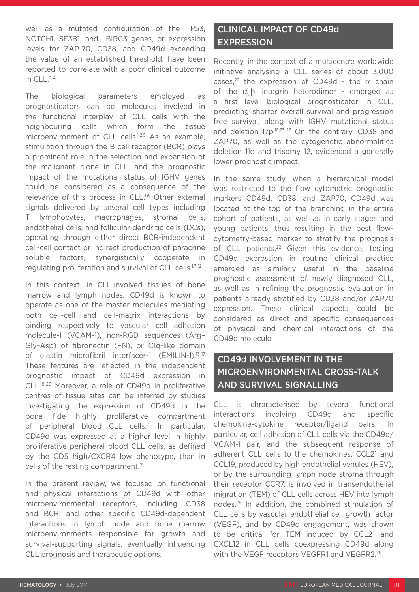well as a mutated configuration of the TP53, NOTCH1, SF3B1, and BIRC3 genes, or expression levels for ZAP-70, CD38, and CD49d exceeding the value of an established threshold, have been reported to correlate with a poor clinical outcome in CLL.<sup>2-4</sup>

The biological parameters employed as prognosticators can be molecules involved in the functional interplay of CLL cells with the neighbouring cells which form the tissue microenvironment of CLL cells.<sup>1,2,5</sup> As an example, stimulation through the B cell receptor (BCR) plays a prominent role in the selection and expansion of the malignant clone in CLL, and the prognostic impact of the mutational status of IGHV genes could be considered as a consequence of the relevance of this process in CLL.<sup>1,6</sup> Other external signals delivered by several cell types including T lymphocytes, macrophages, stromal cells, endothelial cells, and follicular dendritic cells (DCs), operating through either direct BCR-independent cell-cell contact or indirect production of paracrine soluble factors, synergistically cooperate in regulating proliferation and survival of CLL cells.1,7-12

In this context, in CLL-involved tissues of bone marrow and lymph nodes, CD49d is known to operate as one of the master molecules mediating both cell-cell and cell-matrix interactions by binding respectively to vascular cell adhesion molecule-1 (VCAM-1), non-RGD sequences (Arg– Gly–Asp) of fibronectin (FN), or C1q-like domain of elastin microfibril interfacer-1 (EMILIN-1).13-17 These features are reflected in the independent prognostic impact of CD49d expression in CLL.18-20 Moreover, a role of CD49d in proliferative centres of tissue sites can be inferred by studies investigating the expression of CD49d in the bona fide highly proliferative compartment of peripheral blood CLL cells.<sup>21</sup> In particular, CD49d was expressed at a higher level in highly proliferative peripheral blood CLL cells, as defined by the CD5 high/CXCR4 low phenotype, than in cells of the resting compartment.<sup>21</sup>

In the present review, we focused on functional and physical interactions of CD49d with other microenvironmental receptors, including CD38 and BCR, and other specific CD49d-dependent interactions in lymph node and bone marrow microenvironments responsible for growth and survival-supporting signals, eventually influencing CLL prognosis and therapeutic options.

# CLINICAL IMPACT OF CD49d EXPRESSION

Recently, in the context of a multicentre worldwide initiative analysing a CLL series of about 3,000 cases,<sup>22</sup> the expression of CD49d - the  $\alpha$  chain of the  $\alpha_4\beta_1$  integrin heterodimer - emerged as a first level biological prognosticator in CLL, predicting shorter overall survival and progression free survival, along with IGHV mutational status and deletion 17p.<sup>18,23-27</sup> On the contrary, CD38 and ZAP70, as well as the cytogenetic abnormalities deletion 11q and trisomy 12, evidenced a generally lower prognostic impact.

In the same study, when a hierarchical model was restricted to the flow cytometric prognostic markers CD49d, CD38, and ZAP70, CD49d was located at the top of the branching in the entire cohort of patients, as well as in early stages and young patients, thus resulting in the best flowcytometry-based marker to stratify the prognosis of CLL patients.<sup>22</sup> Given this evidence, testing CD49d expression in routine clinical practice emerged as similarly useful in the baseline prognostic assessment of newly diagnosed CLL, as well as in refining the prognostic evaluation in patients already stratified by CD38 and/or ZAP70 expression. These clinical aspects could be considered as direct and specific consequences of physical and chemical interactions of the CD49d molecule.

# CD49d INVOLVEMENT IN THE MICROENVIRONMENTAL CROSS-TALK AND SURVIVAL SIGNALLING

CLL is chraracterised by several functional interactions involving CD49d and specific chemokine-cytokine receptor/ligand pairs. In particular, cell adhesion of CLL cells via the CD49d/ VCAM-1 pair, and the subsequent response of adherent CLL cells to the chemokines, CCL21 and CCL19, produced by high endothelial venules (HEV), or by the surrounding lymph node stroma through their receptor CCR7, is involved in transendothelial migration (TEM) of CLL cells across HEV into lymph nodes.28 In addition, the combined stimulation of CLL cells by vascular endothelial cell growth factor (VEGF), and by CD49d engagement, was shown to be critical for TEM induced by CCL21 and CXCL12 in CLL cells coexpressing CD49d along with the VEGF receptors VEGFR1 and VEGFR2.<sup>29</sup>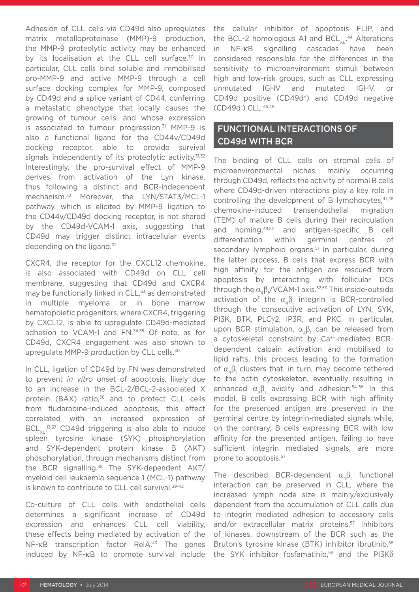Adhesion of CLL cells via CD49d also upregulates matrix metalloproteinase (MMP)-9 production, the MMP-9 proteolytic activity may be enhanced by its localisation at the CLL cell surface.<sup>30</sup> In particular, CLL cells bind soluble and immobilised pro-MMP-9 and active MMP-9 through a cell surface docking complex for MMP-9, composed by CD49d and a splice variant of CD44, conferring a metastatic phenotype that locally causes the growing of tumour cells, and whose expression is associated to tumour progression.<sup>31</sup> MMP-9 is also a functional ligand for the CD44v/CD49d docking receptor, able to provide survival signals independently of its proteolytic activity.<sup>31,32</sup> Interestingly, the pro-survival effect of MMP-9 derives from activation of the Lyn kinase, thus following a distinct and BCR-independent mechanism.32 Moreover, the LYN/STAT3/MCL-1 pathway, which is elicited by MMP-9 ligation to the CD44v/CD49d docking receptor, is not shared by the CD49d-VCAM-1 axis, suggesting that CD49d may trigger distinct intracellular events depending on the ligand.<sup>32</sup>

CXCR4, the receptor for the CXCL12 chemokine, is also associated with CD49d on CLL cell membrane, suggesting that CD49d and CXCR4 may be functionally linked in CLL,<sup>33</sup> as demonstrated in multiple myeloma or in bone marrow hematopoietic progenitors, where CXCR4, triggering by CXCL12, is able to upregulate CD49d-mediated adhesion to VCAM-1 and FN.34,35 Of note, as for CD49d, CXCR4 engagement was also shown to upregulate MMP-9 production by CLL cells.<sup>30</sup>

In CLL, ligation of CD49d by FN was demonstrated to prevent *in vitro* onset of apoptosis, likely due to an increase in the BCL-2/BCL-2-associated X protein (BAX) ratio,<sup>36</sup> and to protect CLL cells from fludarabine-induced apoptosis, this effect correlated with an increased expression of  $BCL_{\chi_L}$ .<sup>13,37</sup> CD49d triggering is also able to induce spleen tyrosine kinase (SYK) phosphorylation and SYK-dependent protein kinase B (AKT) phosphorylation, through mechanisms distinct from the BCR signalling.<sup>38</sup> The SYK-dependent AKT/ myeloid cell leukaemia sequence 1 (MCL-1) pathway is known to contribute to CLL cell survival.<sup>39-42</sup>

Co-culture of CLL cells with endothelial cells determines a significant increase of CD49d expression and enhances CLL cell viability, these effects being mediated by activation of the NF-κB transcription factor RelA.43 The genes induced by NF-κB to promote survival include

the cellular inhibitor of apoptosis FLIP, and the BCL-2 homologous A1 and BCL $_{\sf XL}$ .<sup>44</sup> Alterations in NF-κB signalling cascades have been considered responsible for the differences in the sensitivity to microenvironment stimuli between high and low-risk groups, such as CLL expressing unmutated IGHV and mutated IGHV, or CD49d positive (CD49d+) and CD49d negative (CD49d- ) CLL.45,46

### FUNCTIONAL INTERACTIONS OF CD49d WITH BCR

The binding of CLL cells on stromal cells of microenvironmental niches, mainly occurring through CD49d, reflects the activity of normal B cells where CD49d-driven interactions play a key role in controlling the development of B lymphocytes,  $47,48$ chemokine-induced transendothelial migration (TEM) of mature B cells during their recirculation and homing, 49,50 and antigen-specific B cell differentiation within germinal centres of secondary lymphoid organs.<sup>51</sup> In particular, during the latter process, B cells that express BCR with high affinity for the antigen are rescued from apoptosis by interacting with follicular DCs through the  $\alpha_4\beta_1/\textrm{VCAM-1}$  axis. $^{52,53}$  This inside-outside activation of the  $\alpha_4\beta_1$  integrin is BCR-controlled through the consecutive activation of LYN, SYK, PI3K, BTK, PLCγ2, IP3R, and PKC. In particular, upon BCR stimulation,  $\alpha_4\beta_1$  can be released from a cytoskeletal constraint by Ca<sup>++</sup>-mediated BCRdependent calpain activation and mobilised to lipid rafts, this process leading to the formation of  $\alpha_4\beta_1$  clusters that, in turn, may become tethered to the actin cytoskeleton, eventually resulting in enhanced  $\alpha_4\beta_1$  avidity and adhesion.<sup>54-56</sup> In this model, B cells expressing BCR with high affinity for the presented antigen are preserved in the germinal centre by integrin-mediated signals while, on the contrary, B cells expressing BCR with low affinity for the presented antigen, failing to have sufficient integrin mediated signals, are more prone to apoptosis.57

The described BCR-dependent  $\alpha_4\beta_1$  functional interaction can be preserved in CLL, where the increased lymph node size is mainly/exclusively dependent from the accumulation of CLL cells due to integrin mediated adhesion to accessory cells and/or extracellular matrix proteins.57 Inhibitors of kinases, downstream of the BCR such as the Bruton's tyrosine kinase (BTK) inhibitor ibrutinib.<sup>58</sup> the SYK inhibitor fosfamatinib,<sup>59</sup> and the PI3K $\delta$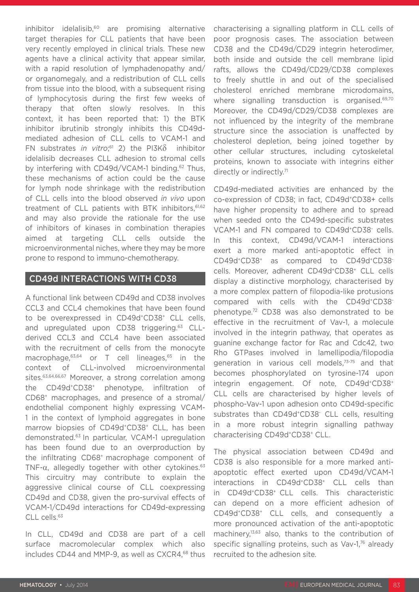inhibitor idelalisib, $60$  are promising alternative target therapies for CLL patients that have been very recently employed in clinical trials. These new agents have a clinical activity that appear similar, with a rapid resolution of lymphadenopathy and/ or organomegaly, and a redistribution of CLL cells from tissue into the blood, with a subsequent rising of lymphocytosis during the first few weeks of therapy that often slowly resolves. In this context, it has been reported that: 1) the BTK inhibitor ibrutinib strongly inhibits this CD49dmediated adhesion of CLL cells to VCAM-1 and FN substrates *in vitro*; 61 2) the PI3Kδ inhibitor idelalisib decreases CLL adhesion to stromal cells by interfering with CD49d/VCAM-1 binding.62 Thus, these mechanisms of action could be the cause for lymph node shrinkage with the redistribution of CLL cells into the blood observed *in vivo* upon treatment of CLL patients with BTK inhibitors, 61,62 and may also provide the rationale for the use of inhibitors of kinases in combination therapies aimed at targeting CLL cells outside the microenvironmental niches, where they may be more prone to respond to immuno-chemotherapy.

### CD49d INTERACTIONS WITH CD38

A functional link between CD49d and CD38 involves CCL3 and CCL4 chemokines that have been found to be overexpressed in CD49d<sup>+</sup>CD38<sup>+</sup> CLL cells, and upregulated upon CD38 triggering.63 CLLderived CCL3 and CCL4 have been associated with the recruitment of cells from the monocyte macrophage, $63,64$  or T cell lineages, $65$  in the context of CLL-involved microenvironmental sites.<sup>63,64,66,67</sup> Moreover, a strong correlation among the CD49d+CD38+ phenotype, infiltration of CD68+ macrophages, and presence of a stromal/ endothelial component highly expressing VCAM-1 in the context of lymphoid aggregates in bone marrow biopsies of CD49d+CD38+ CLL, has been demonstrated.63 In particular, VCAM-1 upregulation has been found due to an overproduction by the infiltrating CD68+ macrophage component of TNF- $\alpha$ , allegedly together with other cytokines.<sup>63</sup> This circuitry may contribute to explain the aggressive clinical course of CLL coexpressing CD49d and CD38, given the pro-survival effects of VCAM-1/CD49d interactions for CD49d-expressing CLL cells.<sup>63</sup>

In CLL, CD49d and CD38 are part of a cell surface macromolecular complex which also includes CD44 and MMP-9, as well as CXCR4.<sup>68</sup> thus

characterising a signalling platform in CLL cells of poor prognosis cases. The association between CD38 and the CD49d/CD29 integrin heterodimer, both inside and outside the cell membrane lipid rafts, allows the CD49d/CD29/CD38 complexes to freely shuttle in and out of the specialised cholesterol enriched membrane microdomains, where signalling transduction is organised.<sup>69,70</sup> Moreover, the CD49d/CD29/CD38 complexes are not influenced by the integrity of the membrane structure since the association is unaffected by cholesterol depletion, being joined together by other cellular structures, including cytoskeletal proteins, known to associate with integrins either directly or indirectly.<sup>71</sup>

CD49d-mediated activities are enhanced by the co-expression of CD38; in fact, CD49d+CD38+ cells have higher propensity to adhere and to spread when seeded onto the CD49d-specific substrates VCAM-1 and FN compared to CD49d+CD38 cells. In this context, CD49d/VCAM-1 interactions exert a more marked anti-apoptotic effect in CD49d+CD38+ as compared to CD49d+CD38 cells. Moreover, adherent CD49d+CD38+ CLL cells display a distinctive morphology, characterised by a more complex pattern of filopodia-like protusions compared with cells with the CD49d<sup>+</sup>CD38<sup>-</sup> phenotype.72 CD38 was also demonstrated to be effective in the recruitment of Vav-1, a molecule involved in the integrin pathway, that operates as guanine exchange factor for Rac and Cdc42, two Rho GTPases involved in lamellipodia/filopodia generation in various cell models,<sup>73-75</sup> and that becomes phosphorylated on tyrosine-174 upon integrin engagement. Of note, CD49d+CD38+ CLL cells are characterised by higher levels of phospho-Vav-1 upon adhesion onto CD49d-specific substrates than CD49d<sup>+</sup>CD38<sup>-</sup> CLL cells, resulting in a more robust integrin signalling pathway characterising CD49d+CD38+ CLL.

The physical association between CD49d and CD38 is also responsible for a more marked antiapoptotic effect exerted upon CD49d/VCAM-1 interactions in CD49d+CD38+ CLL cells than in CD49d+CD38+ CLL cells. This characteristic can depend on a more efficient adhesion of CD49d+CD38+ CLL cells, and consequently a more pronounced activation of the anti-apoptotic machinery,13,63 also, thanks to the contribution of specific signalling proteins, such as Vav-1,76 already recruited to the adhesion site.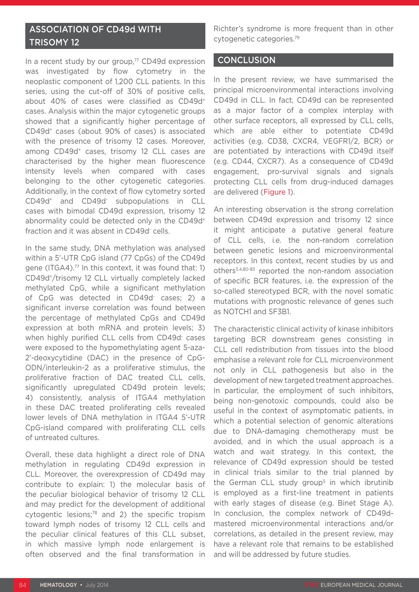## ASSOCIATION OF CD49d WITH TRISOMY 12

In a recent study by our group,<sup>77</sup> CD49d expression was investigated by flow cytometry in the neoplastic component of 1,200 CLL patients. In this series, using the cut-off of 30% of positive cells, about 40% of cases were classified as CD49d<sup>+</sup> cases. Analysis within the major cytogenetic groups showed that a significantly higher percentage of CD49d+ cases (about 90% of cases) is associated with the presence of trisomy 12 cases. Moreover, among CD49d<sup>+</sup> cases, trisomy 12 CLL cases are characterised by the higher mean fluorescence intensity levels when compared with cases belonging to the other cytogenetic categories. Additionally, in the context of flow cytometry sorted CD49d+ and CD49d- subpopulations in CLL cases with bimodal CD49d expression, trisomy 12 abnormality could be detected only in the CD49d<sup>+</sup> fraction and it was absent in CD49d<sup>-</sup> cells.

In the same study, DNA methylation was analysed within a 5'-UTR CpG island (77 CpGs) of the CD49d gene (ITGA4).77 In this context, it was found that: 1) CD49d+/trisomy 12 CLL virtually completely lacked methylated CpG, while a significant methylation of CpG was detected in CD49d- cases; 2) a significant inverse correlation was found between the percentage of methylated CpGs and CD49d expression at both mRNA and protein levels; 3) when highly purified CLL cells from CD49d cases were exposed to the hypomethylating agent 5-aza-2'-deoxycytidine (DAC) in the presence of CpG-ODN/interleukin-2 as a proliferative stimulus, the proliferative fraction of DAC treated CLL cells, significantly upregulated CD49d protein levels; 4) consistently, analysis of ITGA4 methylation in these DAC treated proliferating cells revealed lower levels of DNA methylation in ITGA4 5'-UTR CpG-island compared with proliferating CLL cells of untreated cultures.

Overall, these data highlight a direct role of DNA methylation in regulating CD49d expression in CLL. Moreover, the overexpression of CD49d may contribute to explain: 1) the molecular basis of the peculiar biological behavior of trisomy 12 CLL and may predict for the development of additional cytogentic lesions;78 and 2) the specific tropism toward lymph nodes of trisomy 12 CLL cells and the peculiar clinical features of this CLL subset, in which massive lymph node enlargement is often observed and the final transformation in

Richter's syndrome is more frequent than in other cytogenetic categories.79

### CONCLUSION

In the present review, we have summarised the principal microenvironmental interactions involving CD49d in CLL. In fact, CD49d can be represented as a major factor of a complex interplay with other surface receptors, all expressed by CLL cells, which are able either to potentiate CD49d activities (e.g. CD38, CXCR4, VEGFR1/2, BCR) or are potentiated by interactions with CD49d itself (e.g. CD44, CXCR7). As a consequence of CD49d engagement, pro-survival signals and signals protecting CLL cells from drug-induced damages are delivered (Figure 1).

An interesting observation is the strong correlation between CD49d expression and trisomy 12 since it might anticipate a putative general feature of CLL cells, i.e. the non-random correlation between genetic lesions and microenvironmental receptors. In this context, recent studies by us and others3,4,80-83 reported the non-random association of specific BCR features, i.e. the expression of the so-called stereotyped BCR, with the novel somatic mutations with prognostic relevance of genes such as NOTCH1 and SF3B1.

The characteristic clinical activity of kinase inhibitors targeting BCR downstream genes consisting in CLL cell redistribution from tissues into the blood emphasise a relevant role for CLL microenvironment not only in CLL pathogenesis but also in the development of new targeted treatment approaches. In particular, the employment of such inhibitors, being non-genotoxic compounds, could also be useful in the context of asymptomatic patients, in which a potential selection of genomic alterations due to DNA-damaging chemotherapy must be avoided, and in which the usual approach is a watch and wait strategy. In this context, the relevance of CD49d expression should be tested in clinical trials similar to the trial planned by the German CLL study group<sup>5</sup> in which ibrutinib is employed as a first-line treatment in patients with early stages of disease (e.g. Binet Stage A). In conclusion, the complex network of CD49dmastered microenvironmental interactions and/or correlations, as detailed in the present review, may have a relevant role that remains to be established and will be addressed by future studies.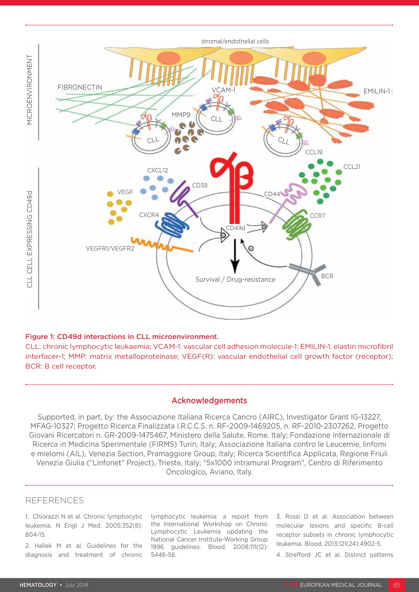

#### Figure 1: CD49d interactions in CLL microenvironment.

CLL: chronic lymphocytic leukaemia; VCAM-1: vascular cell adhesion molecule-1; EMILIN-1: elastin microfibril interfacer-1; MMP: matrix metalloproteinase; VEGF(R): vascular endothelial cell growth factor (receptor); BCR: B cell receptor.

#### Acknowledgements

Supported, in part, by: the Associazione Italiana Ricerca Cancro (AIRC), Investigator Grant IG-13227, MFAG-10327; Progetto Ricerca Finalizzata I.R.C.C.S. n. RF-2009-1469205, n. RF-2010-2307262, Progetto Giovani Ricercatori n. GR-2009-1475467, Ministero della Salute, Rome, Italy; Fondazione Internazionale di Ricerca in Medicina Sperimentale (FIRMS) Turin, Italy; Associazione Italiana contro le Leucemie, linfomi e mielomi (AIL), Venezia Section, Pramaggiore Group, Italy; Ricerca Scientifica Applicata, Regione Friuli Venezia Giulia ("Linfonet" Project), Trieste, Italy; "5x1000 Intramural Program", Centro di Riferimento Oncologico, Aviano, Italy.

#### REFERENCES

1. Chiorazzi N et al. Chronic lymphocytic leukemia. N Engl J Med. 2005;352(8): 804-15.

2. Hallek M et al. Guidelines for the diagnosis and treatment of chronic lymphocytic leukemia: a report from the International Workshop on Chronic Lymphocytic Leukemia updating the National Cancer Institute-Working Group 1996 guidelines. Blood. 2008;111(12): 5446-56.

3. Rossi D et al. Association between molecular lesions and specific B-cell receptor subsets in chronic lymphocytic leukemia. Blood. 2013;121(24):4902-5.

4. Strefford JC et al. Distinct patterns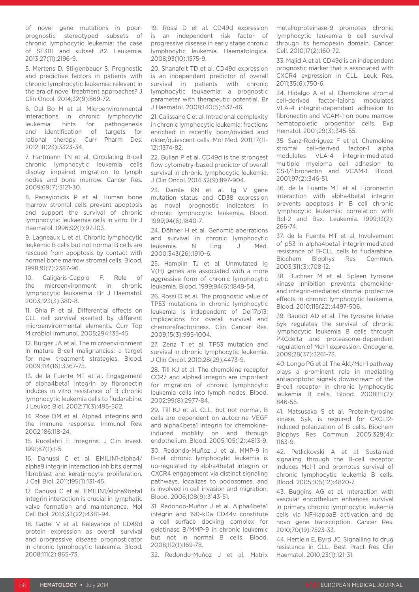of novel gene mutations in poorprognostic stereotyped subsets of chronic lymphocytic leukemia: the case of SF3B1 and subset #2. Leukemia. 2013;27(11):2196-9.

5. Mertens D, Stilgenbauer S. Prognostic and predictive factors in patients with chronic lymphocytic leukemia: relevant in the era of novel treatment approaches? J Clin Oncol. 2014;32(9):869-72.

6. Dal Bo M et al. Microenvironmental interactions in chronic lymphocytic leukemia: hints for pathogenesis and identification of targets for rational therapy. Curr Pharm Des. 2012;18(23):3323-34.

7. Hartmann TN et al. Circulating B-cell chronic lymphocytic leukemia cells display impaired migration to lymph nodes and bone marrow. Cancer Res. 2009;69(7):3121-30.

8. Panayiotidis P et al. Human bone marrow stromal cells prevent apoptosis and support the survival of chronic lymphocytic leukaemia cells in vitro. Br J Haematol. 1996;92(1):97-103.

9. Lagneaux L et al. Chronic lymphocytic leukemic B cells but not normal B cells are rescued from apoptosis by contact with normal bone marrow stromal cells. Blood. 1998;91(7):2387-96.

10. Caligaris-Cappio F. Role of the microenvironment in chronic lymphocytic leukaemia. Br J Haematol. 2003;123(3):380-8.

11. Ghia P et al. Differential effects on CLL cell survival exerted by different microenvironmental elements. Curr Top Microbiol Immunol. 2005;294:135-45.

12. Burger JA et al. The microenvironment in mature B-cell malignancies: a target for new treatment strategies. Blood. 2009;114(16):3367-75.

13. de la Fuente MT et al. Engagement of alpha4beta1 integrin by fibronectin induces in vitro resistance of B chronic lymphocytic leukemia cells to fludarabine. J Leukoc Biol. 2002;71(3):495-502.

14. Rose DM et al. Alpha4 integrins and the immune response. Immunol Rev. 2002;186:118-24.

15. Ruoslahti E. Integrins. J Clin Invest. 1991;87(1):1-5.

16. Danussi C et al. EMILIN1-alpha4/ alpha9 integrin interaction inhibits dermal fibroblast and keratinocyte proliferation. J Cell Biol. 2011;195(1):131-45.

17. Danussi C et al. EMILIN1/alpha9beta1 integrin interaction is crucial in lymphatic valve formation and maintenance. Mol Cell Biol. 2013;33(22):4381-94.

18. Gattei V et al. Relevance of CD49d protein expression as overall survival and progressive disease prognosticator in chronic lymphocytic leukemia. Blood. 2008;111(2):865-73.

19. Rossi D et al. CD49d expression is an independent risk factor of progressive disease in early stage chronic lymphocytic leukemia. Haematologica. 2008;93(10):1575-9.

20. Shanafelt TD et al. CD49d expression is an independent predictor of overall survival in patients with chronic lymphocytic leukaemia: a prognostic parameter with therapeutic potential. Br J Haematol. 2008;140(5):537-46.

21. Calissano C et al. Intraclonal complexity in chronic lymphocytic leukemia: fractions enriched in recently born/divided and older/quiescent cells. Mol Med. 2011;17(11- 12):1374-82.

22. Bulian P et al. CD49d is the strongest flow cytometry-based predictor of overall survival in chronic lymphocytic leukemia. J Clin Oncol. 2014;32(9):897-904.

23. Damle RN et al. Ig V gene mutation status and CD38 expression as novel prognostic indicators in chronic lymphocytic leukemia. Blood. 1999;94(6):1840-7.

24. Döhner H et al. Genomic aberrations and survival in chronic lymphocytic leukemia. N Engl J Med. 2000;343(26):1910-6.

25. Hamblin TJ et al. Unmutated Ig V(H) genes are associated with a more aggressive form of chronic lymphocytic leukemia. Blood. 1999;94(6):1848-54.

26. Rossi D et al. The prognostic value of TP53 mutations in chronic lymphocytic leukemia is independent of Del17p13: implications for overall survival and chemorefractoriness. Clin Cancer Res. 2009;15(3):995-1004.

27. Zenz T et al. TP53 mutation and survival in chronic lymphocytic leukemia. J Clin Oncol. 2010;28(29):4473-9.

28. Till KJ et al. The chemokine receptor CCR7 and alpha4 integrin are important for migration of chronic lymphocytic leukemia cells into lymph nodes. Blood. 2002;99(8):2977-84.

29. Till KJ et al. CLL, but not normal, B cells are dependent on autocrine VEGF and alpha4beta1 integrin for chemokineinduced motility on and through endothelium. Blood. 2005;105(12):4813-9.

30. Redondo-Muñoz J et al. MMP-9 in B-cell chronic lymphocytic leukemia is up-regulated by alpha4beta1 integrin or CXCR4 engagement via distinct signaling pathways, localizes to podosomes, and is involved in cell invasion and migration. Blood. 2006;108(9):3143-51.

31. Redondo-Muñoz J et al. Alpha4beta1 integrin and 190-kDa CD44v constitute a cell surface docking complex for gelatinase B/MMP-9 in chronic leukemic but not in normal B cells. Blood. 2008;112(1):169-78.

32. Redondo-Muñoz J et al. Matrix

metalloproteinase-9 promotes chronic lymphocytic leukemia b cell survival through its hemopexin domain. Cancer Cell. 2010;17(2):160-72.

33. Majid A et al. CD49d is an independent prognostic marker that is associated with CXCR4 expression in CLL. Leuk Res. 2011;35(6):750-6.

34. Hidalgo A et al. Chemokine stromal cell-derived factor-1alpha modulates VLA-4 integrin-dependent adhesion to fibronectin and VCAM-1 on bone marrow hematopoietic progenitor cells. Exp Hematol. 2001;29(3):345-55.

35. Sanz-Rodriguez F et al. Chemokine stromal cell-derived factor-1 alpha modulates VLA-4 integrin-mediated multiple myeloma cell adhesion to CS-1/fibronectin and VCAM-1. Blood. 2001;97(2):346-51.

36. de la Fuente MT et al. Fibronectin interaction with alpha4beta1 integrin prevents apoptosis in B cell chronic lymphocytic leukemia: correlation with Bcl-2 and Bax. Leukemia. 1999;13(2): 266-74.

37. de la Fuente MT et al. Involvement of p53 in alpha4beta1 integrin-mediated resistance of B-CLL cells to fludarabine. Biochem Biophys Res Commun. 2003;311(3):708-12.

38. Buchner M et al. Spleen tyrosine kinase inhibition prevents chemokineand integrin-mediated stromal protective effects in chronic lymphocytic leukemia. Blood. 2010;115(22):4497-506.

39. Baudot AD et al. The tyrosine kinase Syk regulates the survival of chronic lymphocytic leukemia B cells through PKCdelta and proteasome-dependent regulation of Mcl-1 expression. Oncogene. 2009;28(37):3261-73.

40. Longo PG et al. The Akt/Mcl-1 pathway plays a prominent role in mediating antiapoptotic signals downstream of the B-cell receptor in chronic lymphocytic leukemia B cells. Blood. 2008;111(2): 846-55.

41. Matsusaka S et al. Protein-tyrosine kinase, Syk, is required for CXCL12 induced polarization of B cells. Biochem Biophys Res Commun. 2005;328(4): 1163-9.

42. Petlickovski A et al. Sustained signaling through the B-cell receptor induces Mcl-1 and promotes survival of chronic lymphocytic leukemia B cells. Blood. 2005;105(12):4820-7.

43. Buggins AG et al. Interaction with vascular endothelium enhances survival in primary chronic lymphocytic leukemia cells via NF-kappaB activation and de novo gene transcription. Cancer Res. 2010;70(19):7523-33.

44. Hertlein E, Byrd JC. Signalling to drug resistance in CLL. Best Pract Res Clin Haematol. 2010;23(1):121-31.